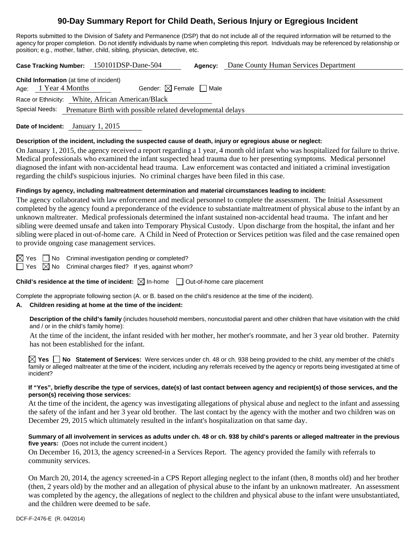# **90-Day Summary Report for Child Death, Serious Injury or Egregious Incident**

Reports submitted to the Division of Safety and Permanence (DSP) that do not include all of the required information will be returned to the agency for proper completion. Do not identify individuals by name when completing this report. Individuals may be referenced by relationship or position; e.g., mother, father, child, sibling, physician, detective, etc.

**Case Tracking Number:** 150101DSP-Dane-504 **Agency:** Dane County Human Services Department

| <b>Child Information</b> (at time of incident)   |  |                                                            |                                        |  |  |  |
|--------------------------------------------------|--|------------------------------------------------------------|----------------------------------------|--|--|--|
|                                                  |  | Age: $1$ Year 4 Months                                     | Gender: $\boxtimes$ Female $\Box$ Male |  |  |  |
| Race or Ethnicity: White, African American/Black |  |                                                            |                                        |  |  |  |
| Special Needs:                                   |  | Premature Birth with possible related developmental delays |                                        |  |  |  |
|                                                  |  |                                                            |                                        |  |  |  |

**Date of Incident:** January 1, 2015

## **Description of the incident, including the suspected cause of death, injury or egregious abuse or neglect:**

On January 1, 2015, the agency received a report regarding a 1 year, 4 month old infant who was hospitalized for failure to thrive. Medical professionals who examined the infant suspected head trauma due to her presenting symptoms. Medical personnel diagnosed the infant with non-accidental head trauma. Law enforcement was contacted and initiated a criminal investigation regarding the child's suspicious injuries. No criminal charges have been filed in this case.

## **Findings by agency, including maltreatment determination and material circumstances leading to incident:**

The agency collaborated with law enforcement and medical personnel to complete the assessment. The Initial Assessment completed by the agency found a preponderance of the evidence to substantiate maltreatment of physical abuse to the infant by an unknown maltreater. Medical professionals determined the infant sustained non-accidental head trauma. The infant and her sibling were deemed unsafe and taken into Temporary Physical Custody. Upon discharge from the hospital, the infant and her sibling were placed in out-of-home care. A Child in Need of Protection or Services petition was filed and the case remained open to provide ongoing case management services.

 $\boxtimes$  Yes  $\Box$  No Criminal investigation pending or completed?

 $\Box$  Yes  $\boxtimes$  No Criminal charges filed? If yes, against whom?

**Child's residence at the time of incident:**  $\boxtimes$  In-home  $\Box$  Out-of-home care placement

Complete the appropriate following section (A. or B. based on the child's residence at the time of the incident).

# **A. Children residing at home at the time of the incident:**

**Description of the child's family** (includes household members, noncustodial parent and other children that have visitation with the child and / or in the child's family home):

 At the time of the incident, the infant resided with her mother, her mother's roommate, and her 3 year old brother. Paternity has not been established for the infant.

**Yes No Statement of Services:** Were services under ch. 48 or ch. 938 being provided to the child, any member of the child's family or alleged maltreater at the time of the incident, including any referrals received by the agency or reports being investigated at time of incident?

# **If "Yes", briefly describe the type of services, date(s) of last contact between agency and recipient(s) of those services, and the person(s) receiving those services:**

At the time of the incident, the agency was investigating allegations of physical abuse and neglect to the infant and assessing the safety of the infant and her 3 year old brother. The last contact by the agency with the mother and two children was on December 29, 2015 which ultimately resulted in the infant's hospitalization on that same day.

# **Summary of all involvement in services as adults under ch. 48 or ch. 938 by child's parents or alleged maltreater in the previous five years:** (Does not include the current incident.)

On December 16, 2013, the agency screened-in a Services Report. The agency provided the family with referrals to community services.

On March 20, 2014, the agency screened-in a CPS Report alleging neglect to the infant (then, 8 months old) and her brother (then, 2 years old) by the mother and an allegation of physical abuse to the infant by an unknown matlreater. An assessment was completed by the agency, the allegations of neglect to the children and physical abuse to the infant were unsubstantiated, and the children were deemed to be safe.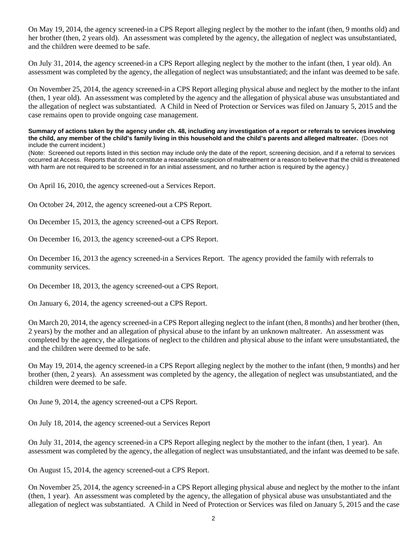On May 19, 2014, the agency screened-in a CPS Report alleging neglect by the mother to the infant (then, 9 months old) and her brother (then, 2 years old). An assessment was completed by the agency, the allegation of neglect was unsubstantiated, and the children were deemed to be safe.

On July 31, 2014, the agency screened-in a CPS Report alleging neglect by the mother to the infant (then, 1 year old). An assessment was completed by the agency, the allegation of neglect was unsubstantiated; and the infant was deemed to be safe.

On November 25, 2014, the agency screened-in a CPS Report alleging physical abuse and neglect by the mother to the infant (then, 1 year old). An assessment was completed by the agency and the allegation of physical abuse was unsubstantiated and the allegation of neglect was substantiated. A Child in Need of Protection or Services was filed on January 5, 2015 and the case remains open to provide ongoing case management.

**Summary of actions taken by the agency under ch. 48, including any investigation of a report or referrals to services involving the child, any member of the child's family living in this household and the child's parents and alleged maltreater.** (Does not include the current incident.)

(Note: Screened out reports listed in this section may include only the date of the report, screening decision, and if a referral to services occurred at Access. Reports that do not constitute a reasonable suspicion of maltreatment or a reason to believe that the child is threatened with harm are not required to be screened in for an initial assessment, and no further action is required by the agency.)

On April 16, 2010, the agency screened-out a Services Report.

On October 24, 2012, the agency screened-out a CPS Report.

On December 15, 2013, the agency screened-out a CPS Report.

On December 16, 2013, the agency screened-out a CPS Report.

On December 16, 2013 the agency screened-in a Services Report. The agency provided the family with referrals to community services.

On December 18, 2013, the agency screened-out a CPS Report.

On January 6, 2014, the agency screened-out a CPS Report.

On March 20, 2014, the agency screened-in a CPS Report alleging neglect to the infant (then, 8 months) and her brother (then, 2 years) by the mother and an allegation of physical abuse to the infant by an unknown maltreater. An assessment was completed by the agency, the allegations of neglect to the children and physical abuse to the infant were unsubstantiated, the and the children were deemed to be safe.

On May 19, 2014, the agency screened-in a CPS Report alleging neglect by the mother to the infant (then, 9 months) and her brother (then, 2 years). An assessment was completed by the agency, the allegation of neglect was unsubstantiated, and the children were deemed to be safe.

On June 9, 2014, the agency screened-out a CPS Report.

On July 18, 2014, the agency screened-out a Services Report

On July 31, 2014, the agency screened-in a CPS Report alleging neglect by the mother to the infant (then, 1 year). An assessment was completed by the agency, the allegation of neglect was unsubstantiated, and the infant was deemed to be safe.

On August 15, 2014, the agency screened-out a CPS Report.

On November 25, 2014, the agency screened-in a CPS Report alleging physical abuse and neglect by the mother to the infant (then, 1 year). An assessment was completed by the agency, the allegation of physical abuse was unsubstantiated and the allegation of neglect was substantiated. A Child in Need of Protection or Services was filed on January 5, 2015 and the case